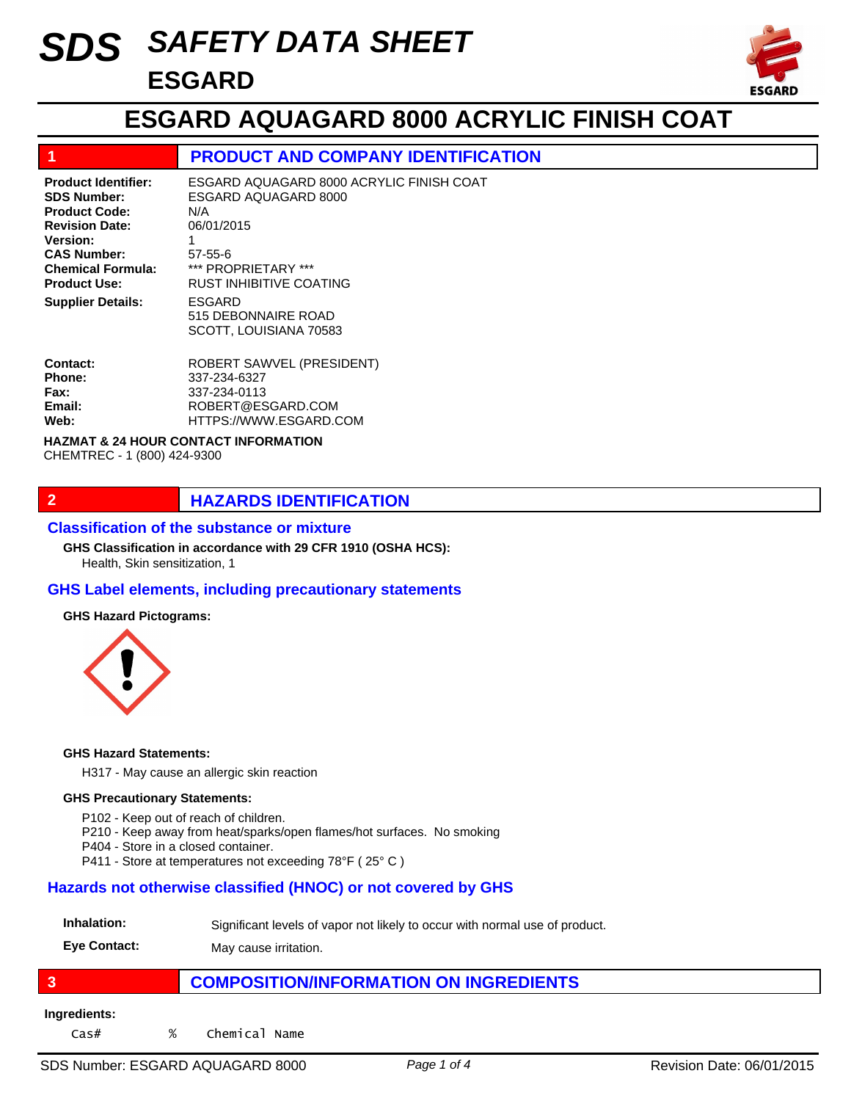# *SAFETY DATA SHEET SDS* **ESGARD**



## **ESGARD AQUAGARD 8000 ACRYLIC FINISH COAT**

### **1 PRODUCT AND COMPANY IDENTIFICATION**

| <b>Product Identifier:</b><br><b>SDS Number:</b><br><b>Product Code:</b><br><b>Revision Date:</b><br>Version:<br><b>CAS Number:</b><br><b>Chemical Formula:</b><br><b>Product Use:</b><br><b>Supplier Details:</b> | ESGARD AQUAGARD 8000 ACRYLIC FINISH COAT<br>ESGARD AQUAGARD 8000<br>N/A<br>06/01/2015<br>$57 - 55 - 6$<br>*** PROPRIFTARY ***<br><b>RUST INHIBITIVE COATING</b><br>ESGARD<br>515 DEBONNAIRE ROAD<br>SCOTT, LOUISIANA 70583 |
|--------------------------------------------------------------------------------------------------------------------------------------------------------------------------------------------------------------------|----------------------------------------------------------------------------------------------------------------------------------------------------------------------------------------------------------------------------|
| Contact:                                                                                                                                                                                                           | ROBERT SAWVEL (PRESIDENT)                                                                                                                                                                                                  |
| Phone:                                                                                                                                                                                                             | 337-234-6327                                                                                                                                                                                                               |

#### 337-234-0113 ROBERT@ESGARD.COM HTTPS://WWW.ESGARD.COM **Fax: Email: Web:**

#### **HAZMAT & 24 HOUR CONTACT INFORMATION**  CHEMTREC - 1 (800) 424-9300

### **2 HAZARDS IDENTIFICATION**

#### **Classification of the substance or mixture**

Health, Skin sensitization, 1 **GHS Classification in accordance with 29 CFR 1910 (OSHA HCS):**

### **GHS Label elements, including precautionary statements**

#### **GHS Hazard Pictograms:**



#### **GHS Hazard Statements:**

H317 - May cause an allergic skin reaction

#### **GHS Precautionary Statements:**

- P102 Keep out of reach of children.
- P210 Keep away from heat/sparks/open flames/hot surfaces. No smoking
- P404 Store in a closed container.
- P411 Store at temperatures not exceeding 78°F ( 25° C )

### **Hazards not otherwise classified (HNOC) or not covered by GHS**

| Inhalation: | Significant levels of vapor not likely to occur with normal use of product. |  |
|-------------|-----------------------------------------------------------------------------|--|
|-------------|-----------------------------------------------------------------------------|--|

**Eye Contact:** May cause irritation.

## **3 COMPOSITION/INFORMATION ON INGREDIENTS**

#### **Ingredients:**

Cas# % Chemical Name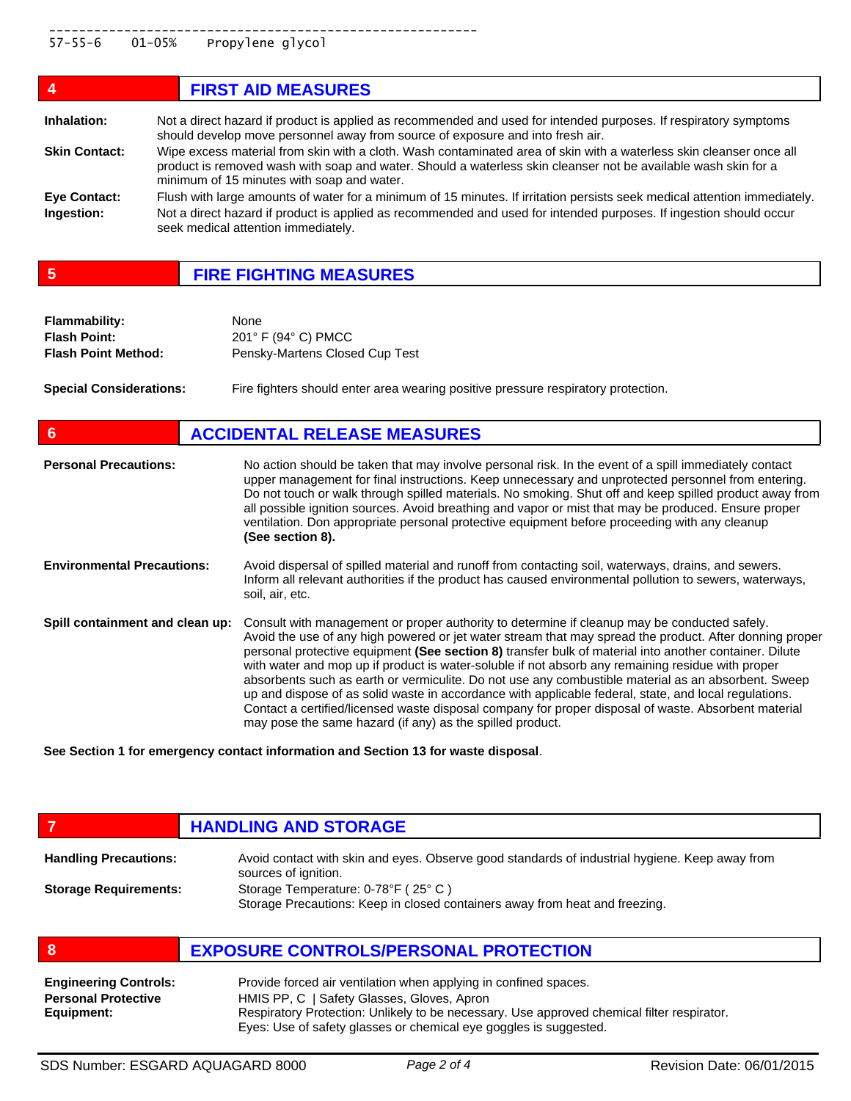| 4                    | <b>FIRST AID MEASURES</b>                                                                                                                                                                                                                                                           |
|----------------------|-------------------------------------------------------------------------------------------------------------------------------------------------------------------------------------------------------------------------------------------------------------------------------------|
| Inhalation:          | Not a direct hazard if product is applied as recommended and used for intended purposes. If respiratory symptoms<br>should develop move personnel away from source of exposure and into fresh air.                                                                                  |
| <b>Skin Contact:</b> | Wipe excess material from skin with a cloth. Wash contaminated area of skin with a waterless skin cleanser once all<br>product is removed wash with soap and water. Should a waterless skin cleanser not be available wash skin for a<br>minimum of 15 minutes with soap and water. |
| Eye Contact:         | Flush with large amounts of water for a minimum of 15 minutes. If irritation persists seek medical attention immediately.                                                                                                                                                           |
| Ingestion:           | Not a direct hazard if product is applied as recommended and used for intended purposes. If ingestion should occur<br>seek medical attention immediately.                                                                                                                           |

**5 FIRE FIGHTING MEASURES**

| <b>Flammability:</b>       | None                               |
|----------------------------|------------------------------------|
| <b>Flash Point:</b>        | $201^\circ$ F (94 $^\circ$ C) PMCC |
| <b>Flash Point Method:</b> | Pensky-Martens Closed Cup Test     |

**Special Considerations:** Fire fighters should enter area wearing positive pressure respiratory protection.

| 6                                 | <b>ACCIDENTAL RELEASE MEASURES</b>                                                                                                                                                                                                                                                                                                                                                                                                                                                                                                                                                                                                                                                                                                                                                                          |
|-----------------------------------|-------------------------------------------------------------------------------------------------------------------------------------------------------------------------------------------------------------------------------------------------------------------------------------------------------------------------------------------------------------------------------------------------------------------------------------------------------------------------------------------------------------------------------------------------------------------------------------------------------------------------------------------------------------------------------------------------------------------------------------------------------------------------------------------------------------|
| <b>Personal Precautions:</b>      | No action should be taken that may involve personal risk. In the event of a spill immediately contact<br>upper management for final instructions. Keep unnecessary and unprotected personnel from entering.<br>Do not touch or walk through spilled materials. No smoking. Shut off and keep spilled product away from<br>all possible ignition sources. Avoid breathing and vapor or mist that may be produced. Ensure proper<br>ventilation. Don appropriate personal protective equipment before proceeding with any cleanup<br>(See section 8).                                                                                                                                                                                                                                                         |
| <b>Environmental Precautions:</b> | Avoid dispersal of spilled material and runoff from contacting soil, waterways, drains, and sewers.<br>Inform all relevant authorities if the product has caused environmental pollution to sewers, waterways,<br>soil, air, etc.                                                                                                                                                                                                                                                                                                                                                                                                                                                                                                                                                                           |
| Spill containment and clean up:   | Consult with management or proper authority to determine if cleanup may be conducted safely.<br>Avoid the use of any high powered or jet water stream that may spread the product. After donning proper<br>personal protective equipment (See section 8) transfer bulk of material into another container. Dilute<br>with water and mop up if product is water-soluble if not absorb any remaining residue with proper<br>absorbents such as earth or vermiculite. Do not use any combustible material as an absorbent. Sweep<br>up and dispose of as solid waste in accordance with applicable federal, state, and local regulations.<br>Contact a certified/licensed waste disposal company for proper disposal of waste. Absorbent material<br>may pose the same hazard (if any) as the spilled product. |

**See Section 1 for emergency contact information and Section 13 for waste disposal**.

## **FIGURE 12 IN STORAGE**

| <b>Handling Precautions:</b> | Avoid contact with skin and eyes. Observe good standards of industrial hygiene. Keep away from<br>sources of ignition. |
|------------------------------|------------------------------------------------------------------------------------------------------------------------|
| <b>Storage Requirements:</b> | Storage Temperature: 0-78°F (25°C)<br>Storage Precautions: Keep in closed containers away from heat and freezing.      |

| <b>EXPOSURE CONTROLS/PERSONAL PROTECTION</b> |
|----------------------------------------------|
|----------------------------------------------|

| <b>Engineering Controls:</b> | Provide forced air ventilation when applying in confined spaces.                           |
|------------------------------|--------------------------------------------------------------------------------------------|
| <b>Personal Protective</b>   | HMIS PP, C   Safety Glasses, Gloves, Apron                                                 |
| Equipment:                   | Respiratory Protection: Unlikely to be necessary. Use approved chemical filter respirator. |
|                              | Eyes: Use of safety glasses or chemical eye goggles is suggested.                          |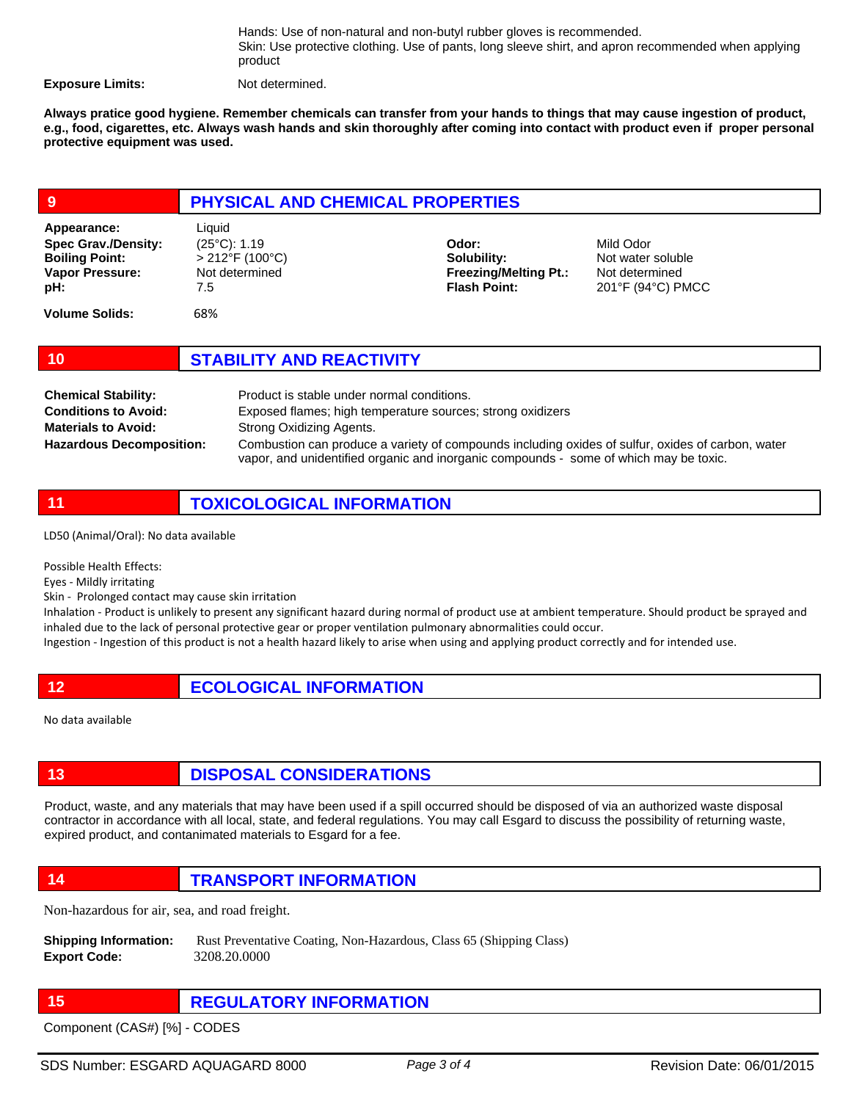Hands: Use of non-natural and non-butyl rubber gloves is recommended. Skin: Use protective clothing. Use of pants, long sleeve shirt, and apron recommended when applying product

**Exposure Limits:** Not determined.

**Always pratice good hygiene. Remember chemicals can transfer from your hands to things that may cause ingestion of product, e.g., food, cigarettes, etc. Always wash hands and skin thoroughly after coming into contact with product even if proper personal protective equipment was used.** 

| 9                                                                                                   | PHYSICAL AND CHEMICAL PROPERTIES                                                           |                                                                             |                                                                       |
|-----------------------------------------------------------------------------------------------------|--------------------------------------------------------------------------------------------|-----------------------------------------------------------------------------|-----------------------------------------------------------------------|
| Appearance:<br><b>Spec Grav./Density:</b><br><b>Boiling Point:</b><br><b>Vapor Pressure:</b><br>pH: | Liquid<br>$(25^{\circ}C)$ : 1.19<br>$>212^{\circ}F(100^{\circ}C)$<br>Not determined<br>7.5 | Odor:<br>Solubility:<br><b>Freezing/Melting Pt.:</b><br><b>Flash Point:</b> | Mild Odor<br>Not water soluble<br>Not determined<br>201°F (94°C) PMCC |
| <b>Volume Solids:</b>                                                                               | 68%                                                                                        |                                                                             |                                                                       |

| 10 | <b>STABILITY AND REACTIVITY</b> |
|----|---------------------------------|
|    |                                 |

| <b>Chemical Stability:</b>      | Product is stable under normal conditions.                                                        |
|---------------------------------|---------------------------------------------------------------------------------------------------|
| <b>Conditions to Avoid:</b>     | Exposed flames; high temperature sources; strong oxidizers                                        |
| <b>Materials to Avoid:</b>      | Strong Oxidizing Agents.                                                                          |
| <b>Hazardous Decomposition:</b> | Combustion can produce a variety of compounds including oxides of sulfur, oxides of carbon, water |
|                                 | vapor, and unidentified organic and inorganic compounds - some of which may be toxic.             |

**11 TOXICOLOGICAL INFORMATION**

LD50 (Animal/Oral): No data available

Possible Health Effects:

Eyes - Mildly irritating

Skin - Prolonged contact may cause skin irritation

Inhalation - Product is unlikely to present any significant hazard during normal of product use at ambient temperature. Should product be sprayed and inhaled due to the lack of personal protective gear or proper ventilation pulmonary abnormalities could occur. Ingestion - Ingestion of this product is not a health hazard likely to arise when using and applying product correctly and for intended use.

No data available

## **13 DISPOSAL CONSIDERATIONS**

Product, waste, and any materials that may have been used if a spill occurred should be disposed of via an authorized waste disposal contractor in accordance with all local, state, and federal regulations. You may call Esgard to discuss the possibility of returning waste, expired product, and contanimated materials to Esgard for a fee.

**14 TRANSPORT INFORMATION**

Non-hazardous for air, sea, and road freight.

- **Shipping Information:** Rust Preventative Coating, Non-Hazardous, Class 65 (Shipping Class) **Export Code:** 3208.20.0000
- **15 REGULATORY INFORMATION**

Component (CAS#) [%] - CODES